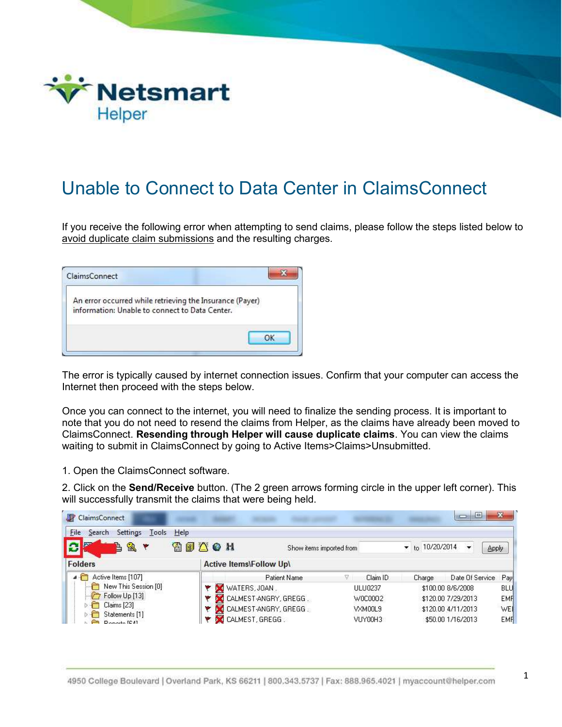

## Unable to Connect to Data Center in ClaimsConnect

If you receive the following error when attempting to send claims, please follow the steps listed below to avoid duplicate claim submissions and the resulting charges.

| An error occurred while retrieving the Insurance (Payer) |  |
|----------------------------------------------------------|--|
| information: Unable to connect to Data Center.           |  |
|                                                          |  |
|                                                          |  |

The error is typically caused by internet connection issues. Confirm that your computer can access the Internet then proceed with the steps below.

Once you can connect to the internet, you will need to finalize the sending process. It is important to note that you do not need to resend the claims from Helper, as the claims have already been moved to ClaimsConnect. Resending through Helper will cause duplicate claims. You can view the claims waiting to submit in ClaimsConnect by going to Active Items>Claims>Unsubmitted.

1. Open the ClaimsConnect software.

2. Click on the Send/Receive button. (The 2 green arrows forming circle in the upper left corner). This will successfully transmit the claims that were being held.

| <b>ClaimsConnect</b>                                                                                                 |                                |                          |    |                |                       | $\Box$<br>$\blacksquare$ | ×            |
|----------------------------------------------------------------------------------------------------------------------|--------------------------------|--------------------------|----|----------------|-----------------------|--------------------------|--------------|
| Settings Tools<br>Eile<br>Help<br>Search<br>g,<br>è                                                                  | SSACH                          | Show items imported from |    |                | $\star$ to 10/20/2014 |                          | <b>Apply</b> |
| <b>Folders</b>                                                                                                       | <b>Active Items\Follow Up\</b> |                          |    |                |                       |                          |              |
| Active Items [107]<br>New This Session [0]<br>$\Box$ Follow Up [13]<br>Claims [23]<br>Statements [1]<br>Departs (CA) |                                | Patient Name             | V. | Claim ID       | Charge                | Date Of Service          | Pay          |
|                                                                                                                      | WATERS, JOAN                   |                          |    | <b>ULU0237</b> |                       | \$100.00 8/6/2008        | <b>BLU</b>   |
|                                                                                                                      | CALMEST-ANGRY, GREGG.          |                          |    | W0C0002        |                       | \$120.00 7/29/2013       | <b>EMF</b>   |
|                                                                                                                      |                                | CALMEST-ANGRY, GREGG.    |    | VXM00L9        |                       | \$120.00 4/11/2013       | WEI          |
|                                                                                                                      | CALMEST, GREGG.                |                          |    | VUY00H3        |                       | \$50.00 1/16/2013        | <b>EMF</b>   |